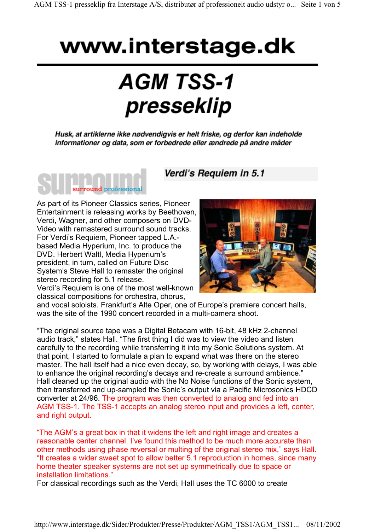## Verdi's Requiem in 5.1

## surround professional

As part of its Pioneer Classics series, Pioneer Entertainment is releasing works by Beethoven, Verdi, Wagner, and other composers on DVD-Video with remastered surround sound tracks. For Verdi's Requiem, Pioneer tapped L.A. based Media Hyperium, Inc. to produce the DVD. Herbert Waltl, Media Hyperium's president, in turn, called on Future Disc System's Steve Hall to remaster the original stereo recording for 5.1 release.

Verdi's Requiem is one of the most well-known classical compositions for orchestra, chorus,



and vocal soloists. Frankfurt's Alte Oper, one of Europe's premiere concert halls, was the site of the 1990 concert recorded in a multi-camera shoot.

"The original source tape was a Digital Betacam with 16-bit, 48 kHz 2-channel audio track," states Hall. "The first thing I did was to view the video and listen carefully to the recording while transferring it into my Sonic Solutions system. At that point, I started to formulate a plan to expand what was there on the stereo master. The hall itself had a nice even decay, so, by working with delays, I was able to enhance the original recording's decays and re-create a surround ambience." Hall cleaned up the original audio with the No Noise functions of the Sonic system, then transferred and up-sampled the Sonic's output via a Pacific Microsonics HDCD converter at 24/96. The program was then converted to analog and fed into an AGM TSS-1. The TSS-1 accepts an analog stereo input and provides a left, center, and right output.

"The AGM's a great box in that it widens the left and right image and creates a reasonable center channel. I've found this method to be much more accurate than other methods using phase reversal or multing of the original stereo mix," says Hall. "It creates a wider sweet spot to allow better 5.1 reproduction in homes, since many home theater speaker systems are not set up symmetrically due to space or installation limitations."

For classical recordings such as the Verdi, Hall uses the TC 6000 to create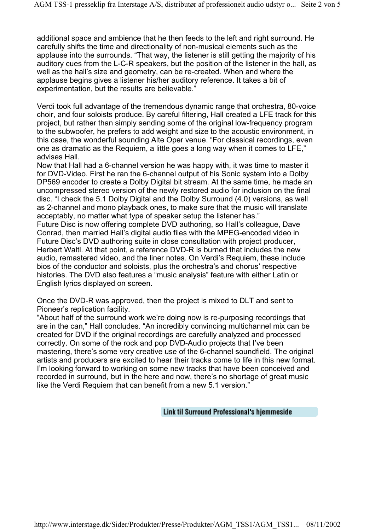additional space and ambience that he then feeds to the left and right surround. He carefully shifts the time and directionality of non-musical elements such as the applause into the surrounds. "That way, the listener is still getting the majority of his auditory cues from the L-C-R speakers, but the position of the listener in the hall, as well as the hall's size and geometry, can be re-created. When and where the applause begins gives a listener his/her auditory reference. It takes a bit of experimentation, but the results are believable."

Verdi took full advantage of the tremendous dynamic range that orchestra, 80-voice choir, and four soloists produce. By careful filtering, Hall created a LFE track for this project, but rather than simply sending some of the original low-frequency program to the subwoofer, he prefers to add weight and size to the acoustic environment, in this case, the wonderful sounding Alte Oper venue. "For classical recordings, even one as dramatic as the Requiem, a little goes a long way when it comes to LFE," advises Hall.

Now that Hall had a 6-channel version he was happy with, it was time to master it for DVD-Video. First he ran the 6-channel output of his Sonic system into a Dolby DP569 encoder to create a Dolby Digital bit stream. At the same time, he made an uncompressed stereo version of the newly restored audio for inclusion on the final disc. "I check the 5.1 Dolby Digital and the Dolby Surround (4.0) versions, as well as 2-channel and mono playback ones, to make sure that the music will translate acceptably, no matter what type of speaker setup the listener has."

Future Disc is now offering complete DVD authoring, so Hall's colleague, Dave Conrad, then married Hall's digital audio files with the MPEG-encoded video in Future Disc's DVD authoring suite in close consultation with project producer, Herbert Waltl. At that point, a reference DVD-R is burned that includes the new audio, remastered video, and the liner notes. On Verdi's Requiem, these include bios of the conductor and soloists, plus the orchestra's and chorus' respective histories. The DVD also features a "music analysis" feature with either Latin or English lyrics displayed on screen.

Once the DVD-R was approved, then the project is mixed to DLT and sent to Pioneer's replication facility.

"About half of the surround work we're doing now is re-purposing recordings that are in the can," Hall concludes. "An incredibly convincing multichannel mix can be created for DVD if the original recordings are carefully analyzed and processed correctly. On some of the rock and pop DVD-Audio projects that I've been mastering, there's some very creative use of the 6-channel soundfield. The original artists and producers are excited to hear their tracks come to life in this new format. I'm looking forward to working on some new tracks that have been conceived and recorded in surround, but in the here and now, there's no shortage of great music like the Verdi Requiem that can benefit from a new 5.1 version."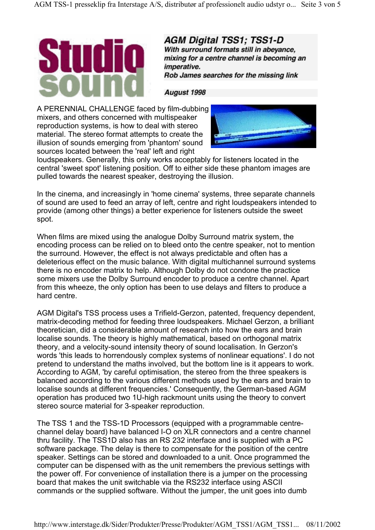

**AGM Digital TSS1: TSS1-D** With surround formats still in abevance. mixing for a centre channel is becoming an imperative. Rob James searches for the missing link

August 1998

A PERENNIAL CHALLENGE faced by film-dubbing mixers, and others concerned with multispeaker reproduction systems, is how to deal with stereo material. The stereo format attempts to create the illusion of sounds emerging from 'phantom' sound sources located between the 'real' left and right



loudspeakers. Generally, this only works acceptably for listeners located in the central 'sweet spot' listening position. Off to either side these phantom images are pulled towards the nearest speaker, destroying the illusion.

In the cinema, and increasingly in 'home cinema' systems, three separate channels of sound are used to feed an array of left, centre and right loudspeakers intended to provide (among other things) a better experience for listeners outside the sweet spot.

When films are mixed using the analogue Dolby Surround matrix system, the encoding process can be relied on to bleed onto the centre speaker, not to mention the surround. However, the effect is not always predictable and often has a deleterious effect on the music balance. With digital multichannel surround systems there is no encoder matrix to help. Although Dolby do not condone the practice some mixers use the Dolby Surround encoder to produce a centre channel. Apart from this wheeze, the only option has been to use delays and filters to produce a hard centre.

AGM Digital's TSS process uses a Trifield-Gerzon, patented, frequency dependent, matrix-decoding method for feeding three loudspeakers. Michael Gerzon, a brilliant theoretician, did a considerable amount of research into how the ears and brain localise sounds. The theory is highly mathematical, based on orthogonal matrix theory, and a velocity-sound intensity theory of sound localisation. In Gerzon's words 'this leads to horrendously complex systems of nonlinear equations'. I do not pretend to understand the maths involved, but the bottom line is it appears to work. According to AGM, 'by careful optimisation, the stereo from the three speakers is balanced according to the various different methods used by the ears and brain to localise sounds at different frequencies.' Consequently, the German-based AGM operation has produced two 1U-high rackmount units using the theory to convert stereo source material for 3-speaker reproduction.

The TSS 1 and the TSS-1D Processors (equipped with a programmable centrechannel delay board) have balanced I-O on XLR connectors and a centre channel thru facility. The TSS1D also has an RS 232 interface and is supplied with a PC software package. The delay is there to compensate for the position of the centre speaker. Settings can be stored and downloaded to a unit. Once programmed the computer can be dispensed with as the unit remembers the previous settings with the power off. For convenience of installation there is a jumper on the processing board that makes the unit switchable via the RS232 interface using ASCII commands or the supplied software. Without the jumper, the unit goes into dumb